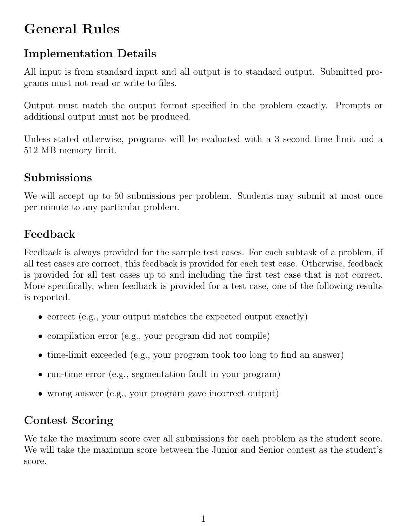# General Rules

## Implementation Details

All input is from standard input and all output is to standard output. Submitted programs must not read or write to files.

Output must match the output format specified in the problem exactly. Prompts or additional output must not be produced.

Unless stated otherwise, programs will be evaluated with a 3 second time limit and a 512 MB memory limit.

#### Submissions

We will accept up to 50 submissions per problem. Students may submit at most once per minute to any particular problem.

## Feedback

Feedback is always provided for the sample test cases. For each subtask of a problem, if all test cases are correct, this feedback is provided for each test case. Otherwise, feedback is provided for all test cases up to and including the first test case that is not correct. More specifically, when feedback is provided for a test case, one of the following results is reported.

- correct (e.g., your output matches the expected output exactly)
- compilation error (e.g., your program did not compile)
- time-limit exceeded (e.g., your program took too long to find an answer)
- run-time error (e.g., segmentation fault in your program)
- wrong answer (e.g., your program gave incorrect output)

#### Contest Scoring

We take the maximum score over all submissions for each problem as the student score. We will take the maximum score between the Junior and Senior contest as the student's score.